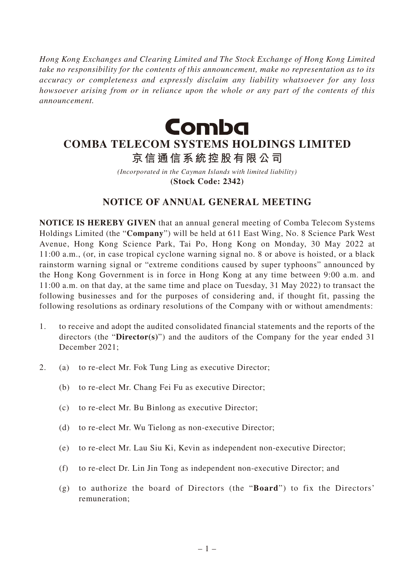*Hong Kong Exchanges and Clearing Limited and The Stock Exchange of Hong Kong Limited take no responsibility for the contents of this announcement, make no representation as to its accuracy or completeness and expressly disclaim any liability whatsoever for any loss howsoever arising from or in reliance upon the whole or any part of the contents of this announcement.*



# **COMBA TELECOM SYSTEMS HOLDINGS LIMITED**

**京信通信系統控股有限公司**

*(Incorporated in the Cayman Islands with limited liability)* **(Stock Code: 2342)**

## **NOTICE OF ANNUAL GENERAL MEETING**

**NOTICE IS HEREBY GIVEN** that an annual general meeting of Comba Telecom Systems Holdings Limited (the "**Company**") will be held at 611 East Wing, No. 8 Science Park West Avenue, Hong Kong Science Park, Tai Po, Hong Kong on Monday, 30 May 2022 at 11:00 a.m., (or, in case tropical cyclone warning signal no. 8 or above is hoisted, or a black rainstorm warning signal or "extreme conditions caused by super typhoons" announced by the Hong Kong Government is in force in Hong Kong at any time between 9:00 a.m. and 11:00 a.m. on that day, at the same time and place on Tuesday, 31 May 2022) to transact the following businesses and for the purposes of considering and, if thought fit, passing the following resolutions as ordinary resolutions of the Company with or without amendments:

- 1. to receive and adopt the audited consolidated financial statements and the reports of the directors (the "**Director(s)**") and the auditors of the Company for the year ended 31 December 2021;
- 2. (a) to re-elect Mr. Fok Tung Ling as executive Director;
	- (b) to re-elect Mr. Chang Fei Fu as executive Director;
	- (c) to re-elect Mr. Bu Binlong as executive Director;
	- (d) to re-elect Mr. Wu Tielong as non-executive Director;
	- (e) to re-elect Mr. Lau Siu Ki, Kevin as independent non-executive Director;
	- (f) to re-elect Dr. Lin Jin Tong as independent non-executive Director; and
	- (g) to authorize the board of Directors (the "**Board**") to fix the Directors' remuneration;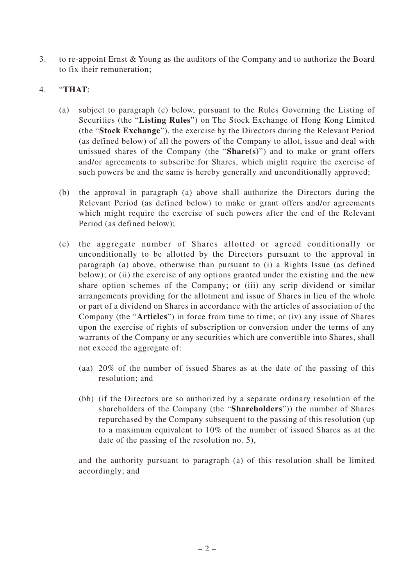3. to re-appoint Ernst & Young as the auditors of the Company and to authorize the Board to fix their remuneration;

#### 4. "**THAT**:

- (a) subject to paragraph (c) below, pursuant to the Rules Governing the Listing of Securities (the "**Listing Rules**") on The Stock Exchange of Hong Kong Limited (the "**Stock Exchange**"), the exercise by the Directors during the Relevant Period (as defined below) of all the powers of the Company to allot, issue and deal with unissued shares of the Company (the "**Share(s)**") and to make or grant offers and/or agreements to subscribe for Shares, which might require the exercise of such powers be and the same is hereby generally and unconditionally approved;
- (b) the approval in paragraph (a) above shall authorize the Directors during the Relevant Period (as defined below) to make or grant offers and/or agreements which might require the exercise of such powers after the end of the Relevant Period (as defined below);
- (c) the aggregate number of Shares allotted or agreed conditionally or unconditionally to be allotted by the Directors pursuant to the approval in paragraph (a) above, otherwise than pursuant to (i) a Rights Issue (as defined below); or (ii) the exercise of any options granted under the existing and the new share option schemes of the Company; or (iii) any scrip dividend or similar arrangements providing for the allotment and issue of Shares in lieu of the whole or part of a dividend on Shares in accordance with the articles of association of the Company (the "**Articles**") in force from time to time; or (iv) any issue of Shares upon the exercise of rights of subscription or conversion under the terms of any warrants of the Company or any securities which are convertible into Shares, shall not exceed the aggregate of:
	- (aa) 20% of the number of issued Shares as at the date of the passing of this resolution; and
	- (bb) (if the Directors are so authorized by a separate ordinary resolution of the shareholders of the Company (the "**Shareholders**")) the number of Shares repurchased by the Company subsequent to the passing of this resolution (up to a maximum equivalent to 10% of the number of issued Shares as at the date of the passing of the resolution no. 5),

and the authority pursuant to paragraph (a) of this resolution shall be limited accordingly; and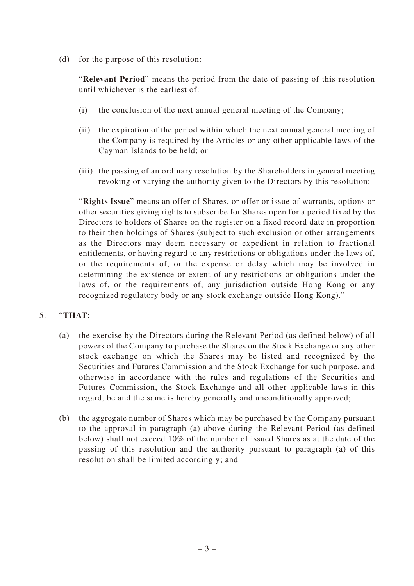(d) for the purpose of this resolution:

"**Relevant Period**" means the period from the date of passing of this resolution until whichever is the earliest of:

- (i) the conclusion of the next annual general meeting of the Company;
- (ii) the expiration of the period within which the next annual general meeting of the Company is required by the Articles or any other applicable laws of the Cayman Islands to be held; or
- (iii) the passing of an ordinary resolution by the Shareholders in general meeting revoking or varying the authority given to the Directors by this resolution;

"**Rights Issue**" means an offer of Shares, or offer or issue of warrants, options or other securities giving rights to subscribe for Shares open for a period fixed by the Directors to holders of Shares on the register on a fixed record date in proportion to their then holdings of Shares (subject to such exclusion or other arrangements as the Directors may deem necessary or expedient in relation to fractional entitlements, or having regard to any restrictions or obligations under the laws of, or the requirements of, or the expense or delay which may be involved in determining the existence or extent of any restrictions or obligations under the laws of, or the requirements of, any jurisdiction outside Hong Kong or any recognized regulatory body or any stock exchange outside Hong Kong)."

### 5. "**THAT**:

- (a) the exercise by the Directors during the Relevant Period (as defined below) of all powers of the Company to purchase the Shares on the Stock Exchange or any other stock exchange on which the Shares may be listed and recognized by the Securities and Futures Commission and the Stock Exchange for such purpose, and otherwise in accordance with the rules and regulations of the Securities and Futures Commission, the Stock Exchange and all other applicable laws in this regard, be and the same is hereby generally and unconditionally approved;
- (b) the aggregate number of Shares which may be purchased by the Company pursuant to the approval in paragraph (a) above during the Relevant Period (as defined below) shall not exceed 10% of the number of issued Shares as at the date of the passing of this resolution and the authority pursuant to paragraph (a) of this resolution shall be limited accordingly; and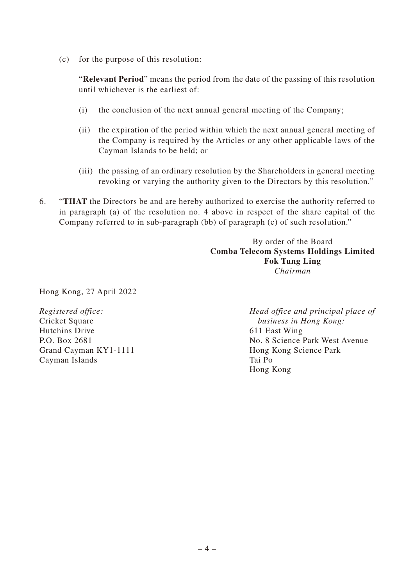(c) for the purpose of this resolution:

"**Relevant Period**" means the period from the date of the passing of this resolution until whichever is the earliest of:

- (i) the conclusion of the next annual general meeting of the Company;
- (ii) the expiration of the period within which the next annual general meeting of the Company is required by the Articles or any other applicable laws of the Cayman Islands to be held; or
- (iii) the passing of an ordinary resolution by the Shareholders in general meeting revoking or varying the authority given to the Directors by this resolution."
- 6. "**THAT** the Directors be and are hereby authorized to exercise the authority referred to in paragraph (a) of the resolution no. 4 above in respect of the share capital of the Company referred to in sub-paragraph (bb) of paragraph (c) of such resolution."

By order of the Board **Comba Telecom Systems Holdings Limited Fok Tung Ling** *Chairman*

Hong Kong, 27 April 2022

*Registered office:* Cricket Square Hutchins Drive P.O. Box 2681 Grand Cayman KY1-1111 Cayman Islands

*Head office and principal place of business in Hong Kong:* 611 East Wing No. 8 Science Park West Avenue Hong Kong Science Park Tai Po Hong Kong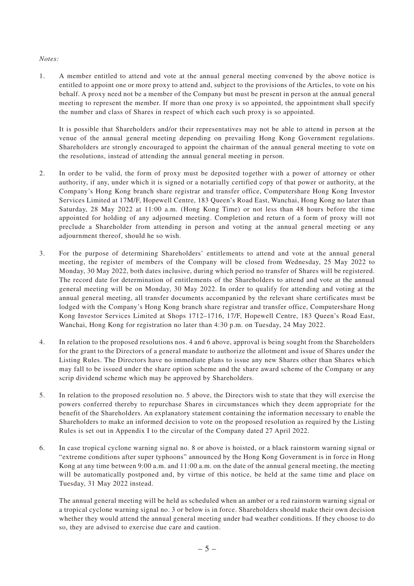#### *Notes:*

1. A member entitled to attend and vote at the annual general meeting convened by the above notice is entitled to appoint one or more proxy to attend and, subject to the provisions of the Articles, to vote on his behalf. A proxy need not be a member of the Company but must be present in person at the annual general meeting to represent the member. If more than one proxy is so appointed, the appointment shall specify the number and class of Shares in respect of which each such proxy is so appointed.

It is possible that Shareholders and/or their representatives may not be able to attend in person at the venue of the annual general meeting depending on prevailing Hong Kong Government regulations. Shareholders are strongly encouraged to appoint the chairman of the annual general meeting to vote on the resolutions, instead of attending the annual general meeting in person.

- 2. In order to be valid, the form of proxy must be deposited together with a power of attorney or other authority, if any, under which it is signed or a notarially certified copy of that power or authority, at the Company's Hong Kong branch share registrar and transfer office, Computershare Hong Kong Investor Services Limited at 17M/F, Hopewell Centre, 183 Queen's Road East, Wanchai, Hong Kong no later than Saturday, 28 May 2022 at 11:00 a.m. (Hong Kong Time) or not less than 48 hours before the time appointed for holding of any adjourned meeting. Completion and return of a form of proxy will not preclude a Shareholder from attending in person and voting at the annual general meeting or any adjournment thereof, should he so wish.
- 3. For the purpose of determining Shareholders' entitlements to attend and vote at the annual general meeting, the register of members of the Company will be closed from Wednesday, 25 May 2022 to Monday, 30 May 2022, both dates inclusive, during which period no transfer of Shares will be registered. The record date for determination of entitlements of the Shareholders to attend and vote at the annual general meeting will be on Monday, 30 May 2022. In order to qualify for attending and voting at the annual general meeting, all transfer documents accompanied by the relevant share certificates must be lodged with the Company's Hong Kong branch share registrar and transfer office, Computershare Hong Kong Investor Services Limited at Shops 1712–1716, 17/F, Hopewell Centre, 183 Queen's Road East, Wanchai, Hong Kong for registration no later than 4:30 p.m. on Tuesday, 24 May 2022.
- 4. In relation to the proposed resolutions nos. 4 and 6 above, approval is being sought from the Shareholders for the grant to the Directors of a general mandate to authorize the allotment and issue of Shares under the Listing Rules. The Directors have no immediate plans to issue any new Shares other than Shares which may fall to be issued under the share option scheme and the share award scheme of the Company or any scrip dividend scheme which may be approved by Shareholders.
- 5. In relation to the proposed resolution no. 5 above, the Directors wish to state that they will exercise the powers conferred thereby to repurchase Shares in circumstances which they deem appropriate for the benefit of the Shareholders. An explanatory statement containing the information necessary to enable the Shareholders to make an informed decision to vote on the proposed resolution as required by the Listing Rules is set out in Appendix I to the circular of the Company dated 27 April 2022.
- 6. In case tropical cyclone warning signal no. 8 or above is hoisted, or a black rainstorm warning signal or "extreme conditions after super typhoons" announced by the Hong Kong Government is in force in Hong Kong at any time between 9:00 a.m. and 11:00 a.m. on the date of the annual general meeting, the meeting will be automatically postponed and, by virtue of this notice, be held at the same time and place on Tuesday, 31 May 2022 instead.

The annual general meeting will be held as scheduled when an amber or a red rainstorm warning signal or a tropical cyclone warning signal no. 3 or below is in force. Shareholders should make their own decision whether they would attend the annual general meeting under bad weather conditions. If they choose to do so, they are advised to exercise due care and caution.